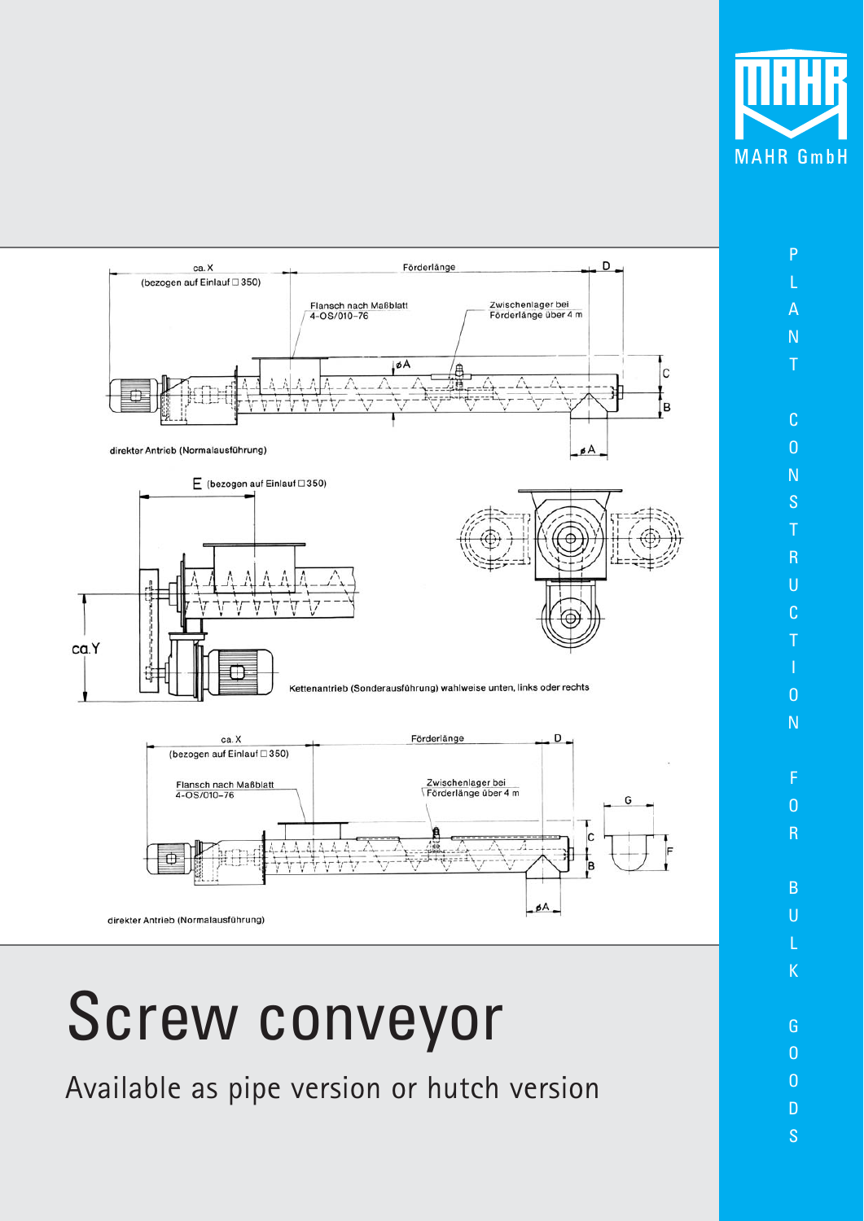

P

A N T

C O N S T R U C T

O N

F  $\overline{0}$ R

B U L K

G O O D S



## Screw conveyor

Available as pipe version or hutch version